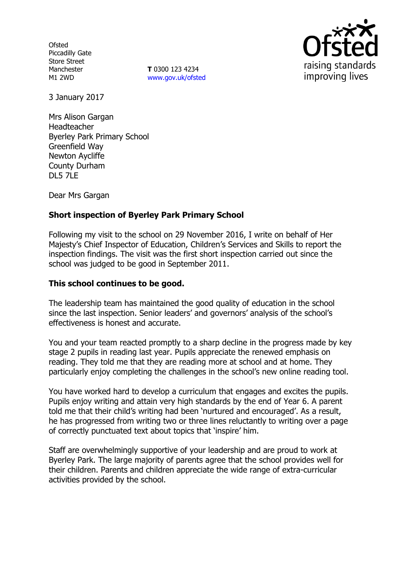**Ofsted** Piccadilly Gate Store Street Manchester M1 2WD

**T** 0300 123 4234 www.gov.uk/ofsted



3 January 2017

Mrs Alison Gargan Headteacher Byerley Park Primary School Greenfield Way Newton Aycliffe County Durham DL5 7LE

Dear Mrs Gargan

## **Short inspection of Byerley Park Primary School**

Following my visit to the school on 29 November 2016, I write on behalf of Her Majesty's Chief Inspector of Education, Children's Services and Skills to report the inspection findings. The visit was the first short inspection carried out since the school was judged to be good in September 2011.

### **This school continues to be good.**

The leadership team has maintained the good quality of education in the school since the last inspection. Senior leaders' and governors' analysis of the school's effectiveness is honest and accurate.

You and your team reacted promptly to a sharp decline in the progress made by key stage 2 pupils in reading last year. Pupils appreciate the renewed emphasis on reading. They told me that they are reading more at school and at home. They particularly enjoy completing the challenges in the school's new online reading tool.

You have worked hard to develop a curriculum that engages and excites the pupils. Pupils enjoy writing and attain very high standards by the end of Year 6. A parent told me that their child's writing had been 'nurtured and encouraged'. As a result, he has progressed from writing two or three lines reluctantly to writing over a page of correctly punctuated text about topics that 'inspire' him.

Staff are overwhelmingly supportive of your leadership and are proud to work at Byerley Park. The large majority of parents agree that the school provides well for their children. Parents and children appreciate the wide range of extra-curricular activities provided by the school.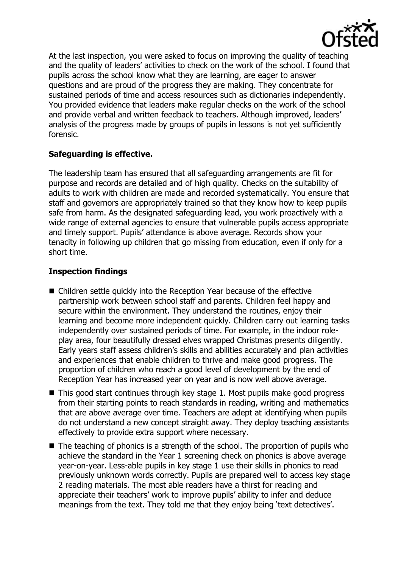

At the last inspection, you were asked to focus on improving the quality of teaching and the quality of leaders' activities to check on the work of the school. I found that pupils across the school know what they are learning, are eager to answer questions and are proud of the progress they are making. They concentrate for sustained periods of time and access resources such as dictionaries independently. You provided evidence that leaders make regular checks on the work of the school and provide verbal and written feedback to teachers. Although improved, leaders' analysis of the progress made by groups of pupils in lessons is not yet sufficiently forensic.

# **Safeguarding is effective.**

The leadership team has ensured that all safeguarding arrangements are fit for purpose and records are detailed and of high quality. Checks on the suitability of adults to work with children are made and recorded systematically. You ensure that staff and governors are appropriately trained so that they know how to keep pupils safe from harm. As the designated safeguarding lead, you work proactively with a wide range of external agencies to ensure that vulnerable pupils access appropriate and timely support. Pupils' attendance is above average. Records show your tenacity in following up children that go missing from education, even if only for a short time.

## **Inspection findings**

- Children settle quickly into the Reception Year because of the effective partnership work between school staff and parents. Children feel happy and secure within the environment. They understand the routines, enjoy their learning and become more independent quickly. Children carry out learning tasks independently over sustained periods of time. For example, in the indoor roleplay area, four beautifully dressed elves wrapped Christmas presents diligently. Early years staff assess children's skills and abilities accurately and plan activities and experiences that enable children to thrive and make good progress. The proportion of children who reach a good level of development by the end of Reception Year has increased year on year and is now well above average.
- This good start continues through key stage 1. Most pupils make good progress from their starting points to reach standards in reading, writing and mathematics that are above average over time. Teachers are adept at identifying when pupils do not understand a new concept straight away. They deploy teaching assistants effectively to provide extra support where necessary.
- $\blacksquare$  The teaching of phonics is a strength of the school. The proportion of pupils who achieve the standard in the Year 1 screening check on phonics is above average year-on-year. Less-able pupils in key stage 1 use their skills in phonics to read previously unknown words correctly. Pupils are prepared well to access key stage 2 reading materials. The most able readers have a thirst for reading and appreciate their teachers' work to improve pupils' ability to infer and deduce meanings from the text. They told me that they enjoy being 'text detectives'.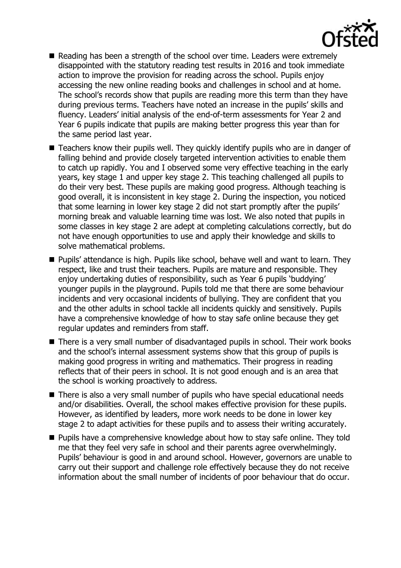

- Reading has been a strength of the school over time. Leaders were extremely disappointed with the statutory reading test results in 2016 and took immediate action to improve the provision for reading across the school. Pupils enjoy accessing the new online reading books and challenges in school and at home. The school's records show that pupils are reading more this term than they have during previous terms. Teachers have noted an increase in the pupils' skills and fluency. Leaders' initial analysis of the end-of-term assessments for Year 2 and Year 6 pupils indicate that pupils are making better progress this year than for the same period last year.
- Teachers know their pupils well. They quickly identify pupils who are in danger of falling behind and provide closely targeted intervention activities to enable them to catch up rapidly. You and I observed some very effective teaching in the early years, key stage 1 and upper key stage 2. This teaching challenged all pupils to do their very best. These pupils are making good progress. Although teaching is good overall, it is inconsistent in key stage 2. During the inspection, you noticed that some learning in lower key stage 2 did not start promptly after the pupils' morning break and valuable learning time was lost. We also noted that pupils in some classes in key stage 2 are adept at completing calculations correctly, but do not have enough opportunities to use and apply their knowledge and skills to solve mathematical problems.
- Pupils' attendance is high. Pupils like school, behave well and want to learn. They respect, like and trust their teachers. Pupils are mature and responsible. They enjoy undertaking duties of responsibility, such as Year 6 pupils 'buddying' younger pupils in the playground. Pupils told me that there are some behaviour incidents and very occasional incidents of bullying. They are confident that you and the other adults in school tackle all incidents quickly and sensitively. Pupils have a comprehensive knowledge of how to stay safe online because they get regular updates and reminders from staff.
- There is a very small number of disadvantaged pupils in school. Their work books and the school's internal assessment systems show that this group of pupils is making good progress in writing and mathematics. Their progress in reading reflects that of their peers in school. It is not good enough and is an area that the school is working proactively to address.
- There is also a very small number of pupils who have special educational needs and/or disabilities. Overall, the school makes effective provision for these pupils. However, as identified by leaders, more work needs to be done in lower key stage 2 to adapt activities for these pupils and to assess their writing accurately.
- Pupils have a comprehensive knowledge about how to stay safe online. They told me that they feel very safe in school and their parents agree overwhelmingly. Pupils' behaviour is good in and around school. However, governors are unable to carry out their support and challenge role effectively because they do not receive information about the small number of incidents of poor behaviour that do occur.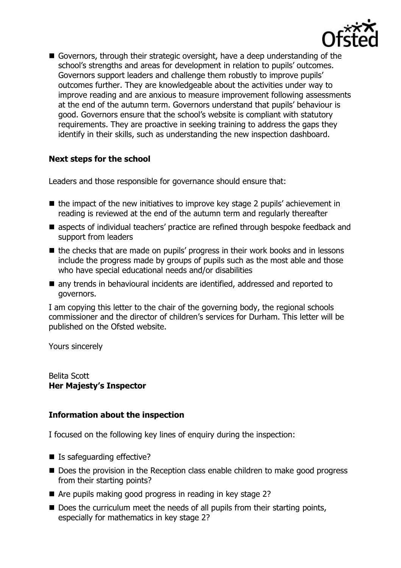

Governors, through their strategic oversight, have a deep understanding of the school's strengths and areas for development in relation to pupils' outcomes. Governors support leaders and challenge them robustly to improve pupils' outcomes further. They are knowledgeable about the activities under way to improve reading and are anxious to measure improvement following assessments at the end of the autumn term. Governors understand that pupils' behaviour is good. Governors ensure that the school's website is compliant with statutory requirements. They are proactive in seeking training to address the gaps they identify in their skills, such as understanding the new inspection dashboard.

# **Next steps for the school**

Leaders and those responsible for governance should ensure that:

- $\blacksquare$  the impact of the new initiatives to improve key stage 2 pupils' achievement in reading is reviewed at the end of the autumn term and regularly thereafter
- **E** aspects of individual teachers' practice are refined through bespoke feedback and support from leaders
- the checks that are made on pupils' progress in their work books and in lessons include the progress made by groups of pupils such as the most able and those who have special educational needs and/or disabilities
- any trends in behavioural incidents are identified, addressed and reported to governors.

I am copying this letter to the chair of the governing body, the regional schools commissioner and the director of children's services for Durham. This letter will be published on the Ofsted website.

Yours sincerely

Belita Scott **Her Majesty's Inspector**

### **Information about the inspection**

I focused on the following key lines of enquiry during the inspection:

- Is safeguarding effective?
- Does the provision in the Reception class enable children to make good progress from their starting points?
- Are pupils making good progress in reading in key stage 2?
- Does the curriculum meet the needs of all pupils from their starting points, especially for mathematics in key stage 2?